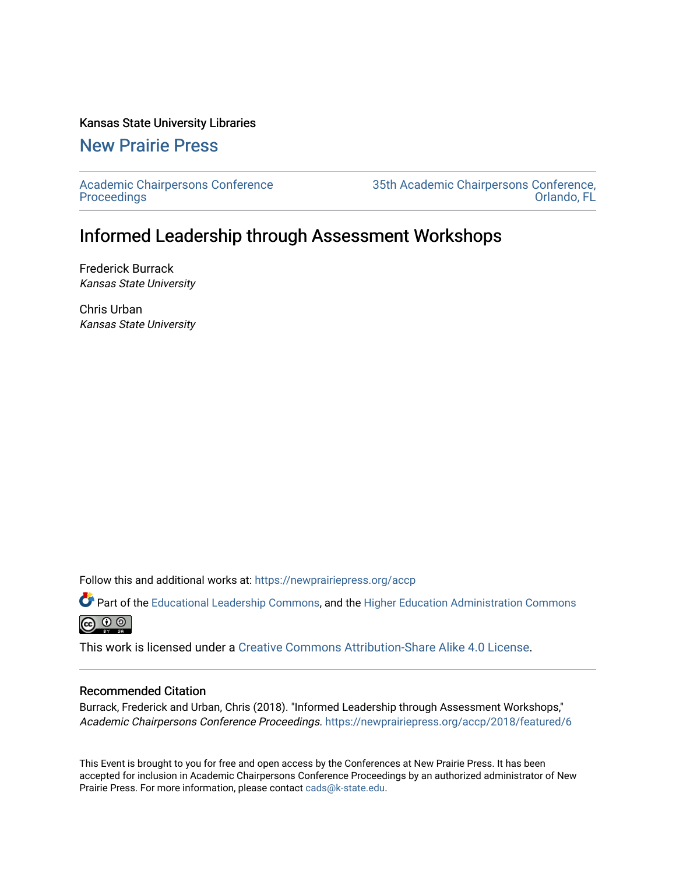#### Kansas State University Libraries

### [New Prairie Press](https://newprairiepress.org/)

[Academic Chairpersons Conference](https://newprairiepress.org/accp)  **Proceedings** 

[35th Academic Chairpersons Conference,](https://newprairiepress.org/accp/2018)  [Orlando, FL](https://newprairiepress.org/accp/2018) 

### Informed Leadership through Assessment Workshops

Frederick Burrack Kansas State University

Chris Urban Kansas State University

Follow this and additional works at: [https://newprairiepress.org/accp](https://newprairiepress.org/accp?utm_source=newprairiepress.org%2Faccp%2F2018%2Ffeatured%2F6&utm_medium=PDF&utm_campaign=PDFCoverPages) 

Part of the [Educational Leadership Commons,](http://network.bepress.com/hgg/discipline/1230?utm_source=newprairiepress.org%2Faccp%2F2018%2Ffeatured%2F6&utm_medium=PDF&utm_campaign=PDFCoverPages) and the [Higher Education Administration Commons](http://network.bepress.com/hgg/discipline/791?utm_source=newprairiepress.org%2Faccp%2F2018%2Ffeatured%2F6&utm_medium=PDF&utm_campaign=PDFCoverPages)  $\circledcirc$ 

This work is licensed under a [Creative Commons Attribution-Share Alike 4.0 License.](https://creativecommons.org/licenses/by-sa/4.0/)

#### Recommended Citation

Burrack, Frederick and Urban, Chris (2018). "Informed Leadership through Assessment Workshops," Academic Chairpersons Conference Proceedings. <https://newprairiepress.org/accp/2018/featured/6>

This Event is brought to you for free and open access by the Conferences at New Prairie Press. It has been accepted for inclusion in Academic Chairpersons Conference Proceedings by an authorized administrator of New Prairie Press. For more information, please contact [cads@k-state.edu.](mailto:cads@k-state.edu)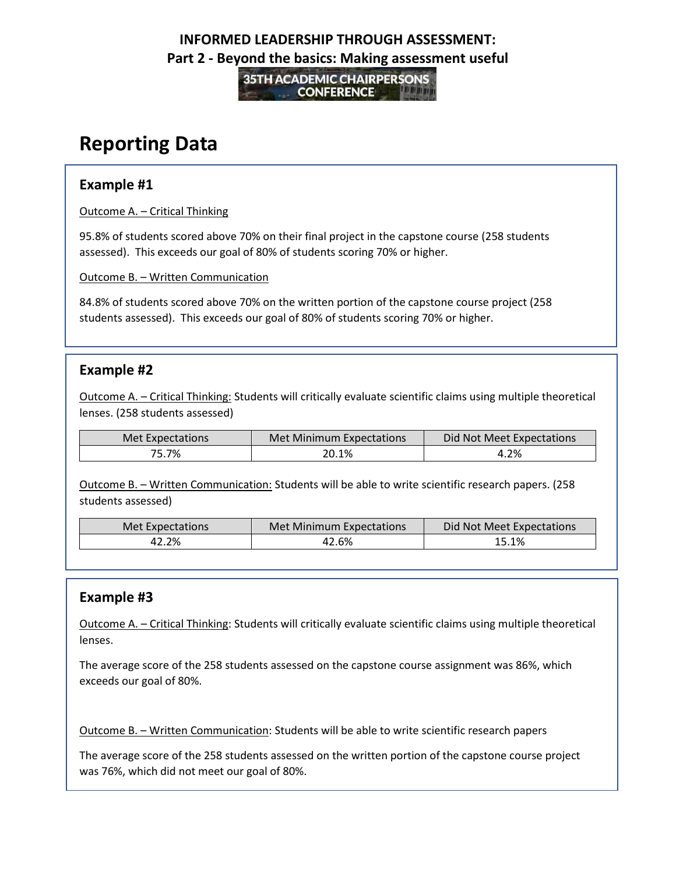**35TH ACADEMIC CHAIRPERSONS CONFERENCE** 

# **Reporting Data**

#### **Example #1**

Outcome A. – Critical Thinking

95.8% of students scored above 70% on their final project in the capstone course (258 students assessed). This exceeds our goal of 80% of students scoring 70% or higher.

Outcome B. – Written Communication

84.8% of students scored above 70% on the written portion of the capstone course project (258 students assessed). This exceeds our goal of 80% of students scoring 70% or higher.

#### **Example #2**

Outcome A. – Critical Thinking: Students will critically evaluate scientific claims using multiple theoretical lenses. (258 students assessed)

| Met Expectations | Met Minimum Expectations | Did Not Meet Expectations |
|------------------|--------------------------|---------------------------|
| 75.7%            | 20.1%                    | 4.2%                      |

Outcome B. – Written Communication: Students will be able to write scientific research papers. (258 students assessed)

| Met Expectations | Met Minimum Expectations | Did Not Meet Expectations |
|------------------|--------------------------|---------------------------|
| 42.2%            | 42.6%                    | 15.1%                     |

### **Example #3**

Outcome A. – Critical Thinking: Students will critically evaluate scientific claims using multiple theoretical lenses.

The average score of the 258 students assessed on the capstone course assignment was 86%, which exceeds our goal of 80%.

Outcome B. – Written Communication: Students will be able to write scientific research papers

The average score of the 258 students assessed on the written portion of the capstone course project was 76%, which did not meet our goal of 80%.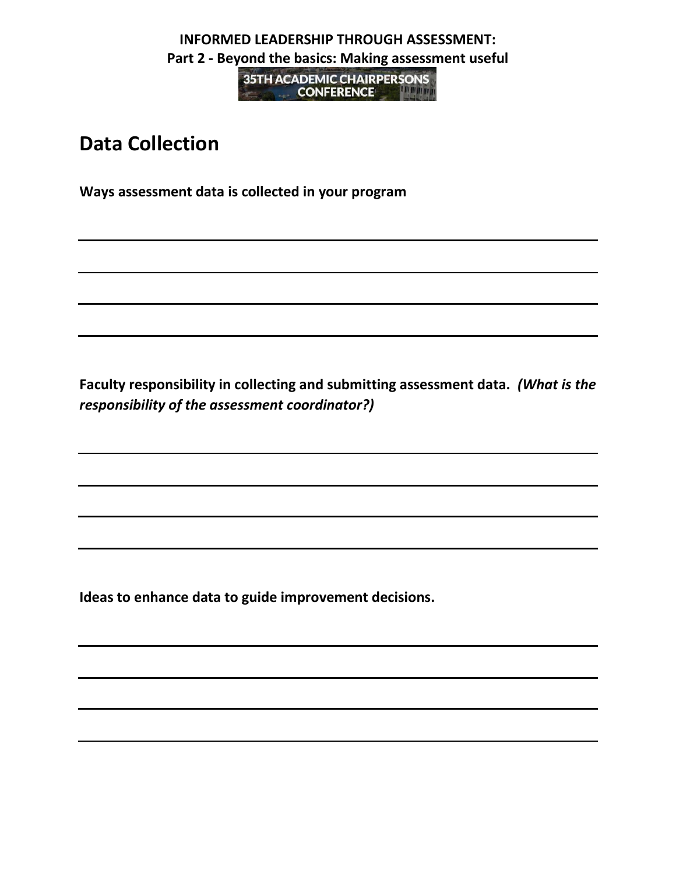**35TH ACADEMIC CHAIRPERSONS CONFERENCE MANAGERIA CONFERENCE** 

# **Data Collection**

**Ways assessment data is collected in your program**

**Faculty responsibility in collecting and submitting assessment data.** *(What is the responsibility of the assessment coordinator?)* 

**Ideas to enhance data to guide improvement decisions.**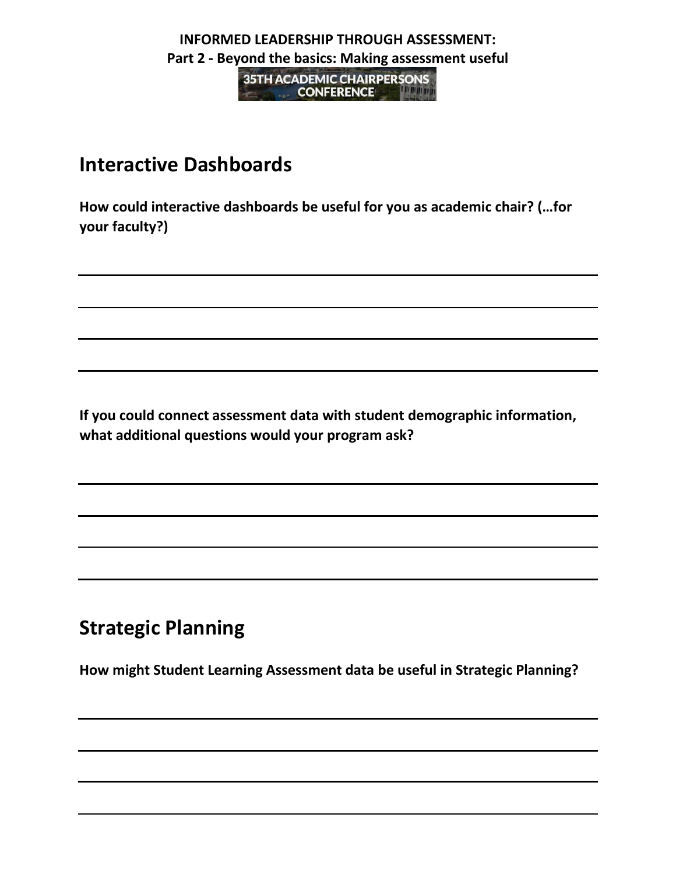**35TH ACADEMIC CHAIRPERSONS CONFERENCE AND STREET AND STREET AND STREET AND STREET AND STREET AND STREET AND STREET AND STREET AND STREET** 

## **Interactive Dashboards**

**How could interactive dashboards be useful for you as academic chair? (…for your faculty?)**

**If you could connect assessment data with student demographic information, what additional questions would your program ask?**

# **Strategic Planning**

**How might Student Learning Assessment data be useful in Strategic Planning?**